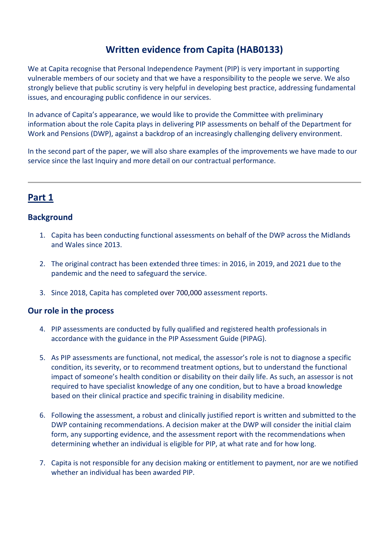# **Written evidence from Capita (HAB0133)**

We at Capita recognise that Personal Independence Payment (PIP) is very important in supporting vulnerable members of our society and that we have a responsibility to the people we serve. We also strongly believe that public scrutiny is very helpful in developing best practice, addressing fundamental issues, and encouraging public confidence in our services.

In advance of Capita's appearance, we would like to provide the Committee with preliminary information about the role Capita plays in delivering PIP assessments on behalf of the Department for Work and Pensions (DWP), against a backdrop of an increasingly challenging delivery environment.

In the second part of the paper, we will also share examples of the improvements we have made to our service since the last Inquiry and more detail on our contractual performance.

# **Part 1**

## **Background**

- 1. Capita has been conducting functional assessments on behalf of the DWP across the Midlands and Wales since 2013.
- 2. The original contract has been extended three times: in 2016, in 2019, and 2021 due to the pandemic and the need to safeguard the service.
- 3. Since 2018, Capita has completed over 700,000 assessment reports.

### **Our role in the process**

- 4. PIP assessments are conducted by fully qualified and registered health professionals in accordance with the guidance in the PIP Assessment Guide (PIPAG).
- 5. As PIP assessments are functional, not medical, the assessor's role is not to diagnose a specific condition, its severity, or to recommend treatment options, but to understand the functional impact of someone's health condition or disability on their daily life. As such, an assessor is not required to have specialist knowledge of any one condition, but to have a broad knowledge based on their clinical practice and specific training in disability medicine.
- 6. Following the assessment, a robust and clinically justified report is written and submitted to the DWP containing recommendations. A decision maker at the DWP will consider the initial claim form, any supporting evidence, and the assessment report with the recommendations when determining whether an individual is eligible for PIP, at what rate and for how long.
- 7. Capita is not responsible for any decision making or entitlement to payment, nor are we notified whether an individual has been awarded PIP.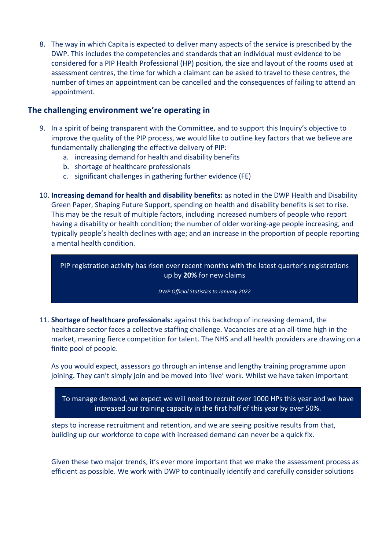8. The way in which Capita is expected to deliver many aspects of the service is prescribed by the DWP. This includes the competencies and standards that an individual must evidence to be considered for a PIP Health Professional (HP) position, the size and layout of the rooms used at assessment centres, the time for which a claimant can be asked to travel to these centres, the number of times an appointment can be cancelled and the consequences of failing to attend an appointment.

## **The challenging environment we're operating in**

- 9. In a spirit of being transparent with the Committee, and to support this Inquiry's objective to improve the quality of the PIP process, we would like to outline key factors that we believe are fundamentally challenging the effective delivery of PIP:
	- a. increasing demand for health and disability benefits
	- b. shortage of healthcare professionals
	- c. significant challenges in gathering further evidence (FE)
- 10. **Increasing demand for health and disability benefits:** as noted in the DWP Health and Disability Green Paper, Shaping Future Support, spending on health and disability benefits is set to rise. This may be the result of multiple factors, including increased numbers of people who report having a disability or health condition; the number of older working-age people increasing, and typically people's health declines with age; and an increase in the proportion of people reporting a mental health condition.

PIP registration activity has risen over recent months with the latest quarter's registrations up by **20%** for new claims

*DWP Official Statistics to January 2022*

11. **Shortage of healthcare professionals:** against this backdrop of increasing demand, the healthcare sector faces a collective staffing challenge. Vacancies are at an all-time high in the market, meaning fierce competition for talent. The NHS and all health providers are drawing on a finite pool of people.

As you would expect, assessors go through an intense and lengthy training programme upon joining. They can't simply join and be moved into 'live' work. Whilst we have taken important

To manage demand, we expect we will need to recruit over 1000 HPs this year and we have increased our training capacity in the first half of this year by over 50%.

steps to increase recruitment and retention, and we are seeing positive results from that, building up our workforce to cope with increased demand can never be a quick fix.

Given these two major trends, it's ever more important that we make the assessment process as efficient as possible. We work with DWP to continually identify and carefully consider solutions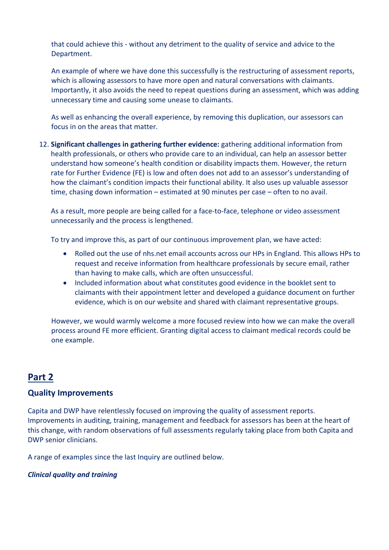that could achieve this - without any detriment to the quality of service and advice to the Department.

An example of where we have done this successfully is the restructuring of assessment reports, which is allowing assessors to have more open and natural conversations with claimants. Importantly, it also avoids the need to repeat questions during an assessment, which was adding unnecessary time and causing some unease to claimants.

As well as enhancing the overall experience, by removing this duplication, our assessors can focus in on the areas that matter.

12. **Significant challenges in gathering further evidence:** gathering additional information from health professionals, or others who provide care to an individual, can help an assessor better understand how someone's health condition or disability impacts them. However, the return rate for Further Evidence (FE) is low and often does not add to an assessor's understanding of how the claimant's condition impacts their functional ability. It also uses up valuable assessor time, chasing down information – estimated at 90 minutes per case – often to no avail.

As a result, more people are being called for a face-to-face, telephone or video assessment unnecessarily and the process is lengthened.

To try and improve this, as part of our continuous improvement plan, we have acted:

- Rolled out the use of nhs.net email accounts across our HPs in England. This allows HPs to request and receive information from healthcare professionals by secure email, rather than having to make calls, which are often unsuccessful.
- Included information about what constitutes good evidence in the booklet sent to claimants with their appointment letter and developed a guidance document on further evidence, which is on our website and shared with claimant representative groups.

However, we would warmly welcome a more focused review into how we can make the overall process around FE more efficient. Granting digital access to claimant medical records could be one example.

# **Part 2**

## **Quality Improvements**

Capita and DWP have relentlessly focused on improving the quality of assessment reports. Improvements in auditing, training, management and feedback for assessors has been at the heart of this change, with random observations of full assessments regularly taking place from both Capita and DWP senior clinicians.

A range of examples since the last Inquiry are outlined below.

### *Clinical quality and training*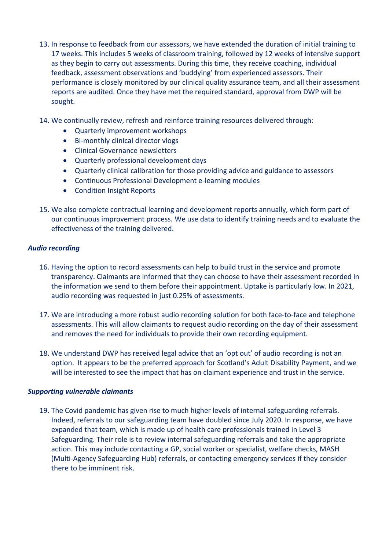- 13. In response to feedback from our assessors, we have extended the duration of initial training to 17 weeks. This includes 5 weeks of classroom training, followed by 12 weeks of intensive support as they begin to carry out assessments. During this time, they receive coaching, individual feedback, assessment observations and 'buddying' from experienced assessors. Their performance is closely monitored by our clinical quality assurance team, and all their assessment reports are audited. Once they have met the required standard, approval from DWP will be sought.
- 14. We continually review, refresh and reinforce training resources delivered through:
	- Quarterly improvement workshops
	- Bi-monthly clinical director vlogs
	- Clinical Governance newsletters
	- Quarterly professional development days
	- Quarterly clinical calibration for those providing advice and guidance to assessors
	- Continuous Professional Development e-learning modules
	- Condition Insight Reports
- 15. We also complete contractual learning and development reports annually, which form part of our continuous improvement process. We use data to identify training needs and to evaluate the effectiveness of the training delivered.

#### *Audio recording*

- 16. Having the option to record assessments can help to build trust in the service and promote transparency. Claimants are informed that they can choose to have their assessment recorded in the information we send to them before their appointment. Uptake is particularly low. In 2021, audio recording was requested in just 0.25% of assessments.
- 17. We are introducing a more robust audio recording solution for both face-to-face and telephone assessments. This will allow claimants to request audio recording on the day of their assessment and removes the need for individuals to provide their own recording equipment.
- 18. We understand DWP has received legal advice that an 'opt out' of audio recording is not an option. It appears to be the preferred approach for Scotland's Adult Disability Payment, and we will be interested to see the impact that has on claimant experience and trust in the service.

#### *Supporting vulnerable claimants*

19. The Covid pandemic has given rise to much higher levels of internal safeguarding referrals. Indeed, referrals to our safeguarding team have doubled since July 2020. In response, we have expanded that team, which is made up of health care professionals trained in Level 3 Safeguarding. Their role is to review internal safeguarding referrals and take the appropriate action. This may include contacting a GP, social worker or specialist, welfare checks, MASH (Multi-Agency Safeguarding Hub) referrals, or contacting emergency services if they consider there to be imminent risk.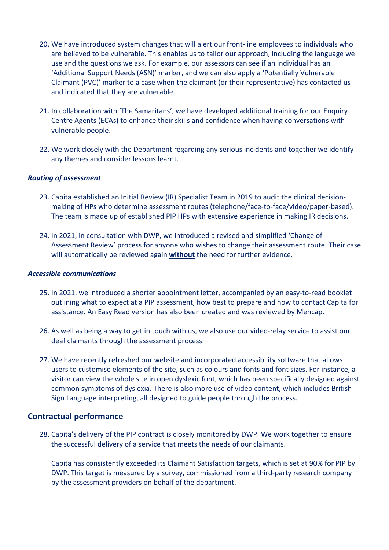- 20. We have introduced system changes that will alert our front-line employees to individuals who are believed to be vulnerable. This enables us to tailor our approach, including the language we use and the questions we ask. For example, our assessors can see if an individual has an 'Additional Support Needs (ASN)' marker, and we can also apply a 'Potentially Vulnerable Claimant (PVC)' marker to a case when the claimant (or their representative) has contacted us and indicated that they are vulnerable.
- 21. In collaboration with 'The Samaritans', we have developed additional training for our Enquiry Centre Agents (ECAs) to enhance their skills and confidence when having conversations with vulnerable people.
- 22. We work closely with the Department regarding any serious incidents and together we identify any themes and consider lessons learnt.

#### *Routing of assessment*

- 23. Capita established an Initial Review (IR) Specialist Team in 2019 to audit the clinical decisionmaking of HPs who determine assessment routes (telephone/face-to-face/video/paper-based). The team is made up of established PIP HPs with extensive experience in making IR decisions.
- 24. In 2021, in consultation with DWP, we introduced a revised and simplified 'Change of Assessment Review' process for anyone who wishes to change their assessment route. Their case will automatically be reviewed again **without** the need for further evidence.

#### *Accessible communications*

- 25. In 2021, we introduced a shorter appointment letter, accompanied by an easy-to-read booklet outlining what to expect at a PIP assessment, how best to prepare and how to contact Capita for assistance. An Easy Read version has also been created and was reviewed by Mencap.
- 26. As well as being a way to get in touch with us, we also use our video-relay service to assist our deaf claimants through the assessment process.
- 27. We have recently refreshed our website and incorporated accessibility software that allows users to customise elements of the site, such as colours and fonts and font sizes. For instance, a visitor can view the whole site in open dyslexic font, which has been specifically designed against common symptoms of dyslexia. There is also more use of video content, which includes British Sign Language interpreting, all designed to guide people through the process.

### **Contractual performance**

28. Capita's delivery of the PIP contract is closely monitored by DWP. We work together to ensure the successful delivery of a service that meets the needs of our claimants.

Capita has consistently exceeded its Claimant Satisfaction targets, which is set at 90% for PIP by DWP. This target is measured by a survey, commissioned from a third-party research company by the assessment providers on behalf of the department.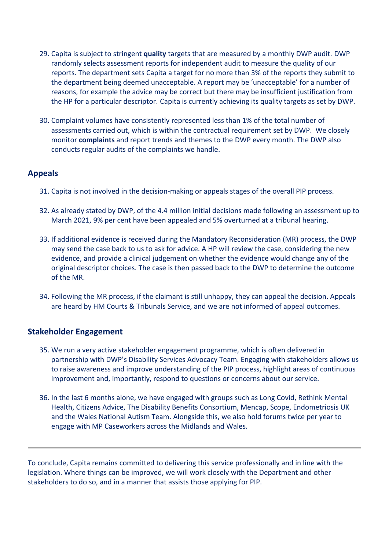- 29. Capita is subject to stringent **quality** targets that are measured by a monthly DWP audit. DWP randomly selects assessment reports for independent audit to measure the quality of our reports. The department sets Capita a target for no more than 3% of the reports they submit to the department being deemed unacceptable. A report may be 'unacceptable' for a number of reasons, for example the advice may be correct but there may be insufficient justification from the HP for a particular descriptor. Capita is currently achieving its quality targets as set by DWP.
- 30. Complaint volumes have consistently represented less than 1% of the total number of assessments carried out, which is within the contractual requirement set by DWP. We closely monitor **complaints** and report trends and themes to the DWP every month. The DWP also conducts regular audits of the complaints we handle.

## **Appeals**

- 31. Capita is not involved in the decision-making or appeals stages of the overall PIP process.
- 32. As already stated by DWP, of the 4.4 million initial decisions made following an assessment up to March 2021, 9% per cent have been appealed and 5% overturned at a tribunal hearing.
- 33. If additional evidence is received during the Mandatory Reconsideration (MR) process, the DWP may send the case back to us to ask for advice. A HP will review the case, considering the new evidence, and provide a clinical judgement on whether the evidence would change any of the original descriptor choices. The case is then passed back to the DWP to determine the outcome of the MR.
- 34. Following the MR process, if the claimant is still unhappy, they can appeal the decision. Appeals are heard by HM Courts & Tribunals Service, and we are not informed of appeal outcomes.

## **Stakeholder Engagement**

- 35. We run a very active stakeholder engagement programme, which is often delivered in partnership with DWP's Disability Services Advocacy Team. Engaging with stakeholders allows us to raise awareness and improve understanding of the PIP process, highlight areas of continuous improvement and, importantly, respond to questions or concerns about our service.
- 36. In the last 6 months alone, we have engaged with groups such as Long Covid, Rethink Mental Health, Citizens Advice, The Disability Benefits Consortium, Mencap, Scope, Endometriosis UK and the Wales National Autism Team. Alongside this, we also hold forums twice per year to engage with MP Caseworkers across the Midlands and Wales.

To conclude, Capita remains committed to delivering this service professionally and in line with the legislation. Where things can be improved, we will work closely with the Department and other stakeholders to do so, and in a manner that assists those applying for PIP.